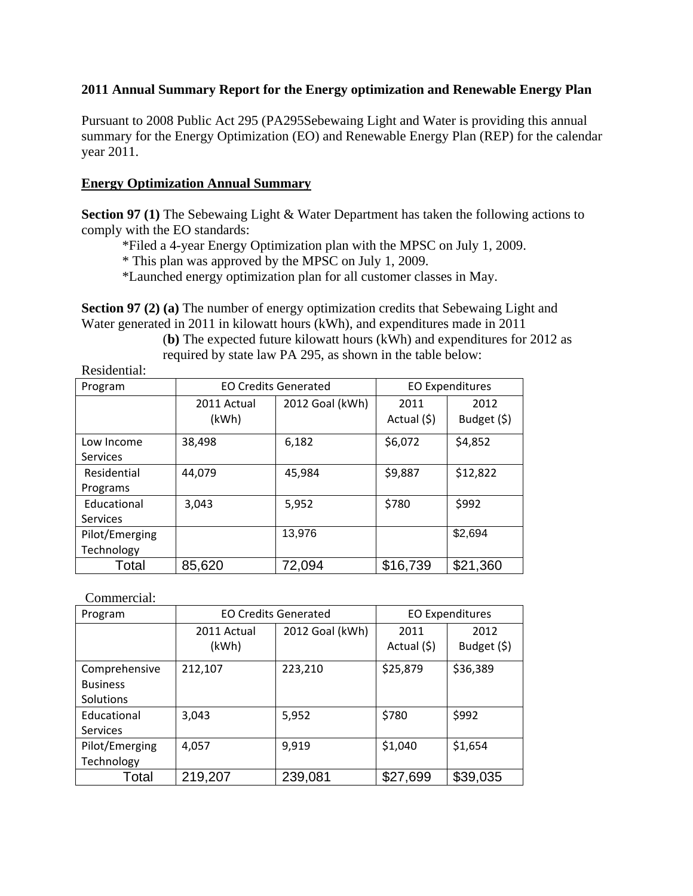## **2011 Annual Summary Report for the Energy optimization and Renewable Energy Plan**

Pursuant to 2008 Public Act 295 (PA295Sebewaing Light and Water is providing this annual summary for the Energy Optimization (EO) and Renewable Energy Plan (REP) for the calendar year 2011.

## **Energy Optimization Annual Summary**

**Section 97 (1)** The Sebewaing Light & Water Department has taken the following actions to comply with the EO standards:

\*Filed a 4-year Energy Optimization plan with the MPSC on July 1, 2009.

\* This plan was approved by the MPSC on July 1, 2009.

\*Launched energy optimization plan for all customer classes in May.

**Section 97 (2) (a)** The number of energy optimization credits that Sebewaing Light and Water generated in 2011 in kilowatt hours (kWh), and expenditures made in 2011

(**b)** The expected future kilowatt hours (kWh) and expenditures for 2012 as required by state law PA 295, as shown in the table below:

| Program         | <b>EO Credits Generated</b> |                 | <b>EO Expenditures</b> |                     |
|-----------------|-----------------------------|-----------------|------------------------|---------------------|
|                 | 2011 Actual<br>(kWh)        | 2012 Goal (kWh) | 2011<br>Actual (\$)    | 2012<br>Budget (\$) |
| Low Income      | 38,498                      | 6,182           | \$6,072                | \$4,852             |
| <b>Services</b> |                             |                 |                        |                     |
| Residential     | 44,079                      | 45,984          | \$9,887                | \$12,822            |
| Programs        |                             |                 |                        |                     |
| Educational     | 3,043                       | 5,952           | \$780                  | \$992               |
| <b>Services</b> |                             |                 |                        |                     |
| Pilot/Emerging  |                             | 13,976          |                        | \$2,694             |
| Technology      |                             |                 |                        |                     |
| Total           | 85,620                      | 72,094          | \$16,739               | \$21,360            |

Commercial:

Residential:

| Program                                       | <b>EO Credits Generated</b> |                 | <b>EO Expenditures</b> |                     |
|-----------------------------------------------|-----------------------------|-----------------|------------------------|---------------------|
|                                               | 2011 Actual<br>(kWh)        | 2012 Goal (kWh) | 2011<br>Actual (\$)    | 2012<br>Budget (\$) |
| Comprehensive<br><b>Business</b><br>Solutions | 212,107                     | 223,210         | \$25,879               | \$36,389            |
| Educational<br>Services                       | 3,043                       | 5,952           | \$780                  | \$992               |
| Pilot/Emerging<br>Technology                  | 4,057                       | 9,919           | \$1,040                | \$1,654             |
| Total                                         | 219,207                     | 239,081         | \$27,699               | \$39,035            |